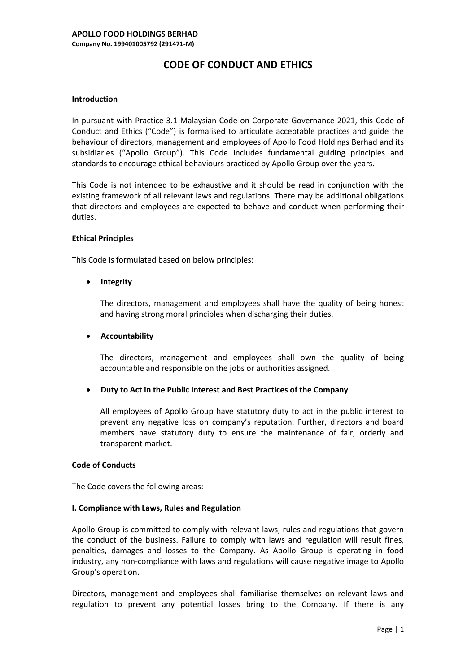# **CODE OF CONDUCT AND ETHICS**

## **Introduction**

In pursuant with Practice 3.1 Malaysian Code on Corporate Governance 2021, this Code of Conduct and Ethics ("Code") is formalised to articulate acceptable practices and guide the behaviour of directors, management and employees of Apollo Food Holdings Berhad and its subsidiaries ("Apollo Group"). This Code includes fundamental guiding principles and standards to encourage ethical behaviours practiced by Apollo Group over the years.

This Code is not intended to be exhaustive and it should be read in conjunction with the existing framework of all relevant laws and regulations. There may be additional obligations that directors and employees are expected to behave and conduct when performing their duties.

### **Ethical Principles**

This Code is formulated based on below principles:

# • **Integrity**

The directors, management and employees shall have the quality of being honest and having strong moral principles when discharging their duties.

## • **Accountability**

The directors, management and employees shall own the quality of being accountable and responsible on the jobs or authorities assigned.

# • **Duty to Act in the Public Interest and Best Practices of the Company**

All employees of Apollo Group have statutory duty to act in the public interest to prevent any negative loss on company's reputation. Further, directors and board members have statutory duty to ensure the maintenance of fair, orderly and transparent market.

#### **Code of Conducts**

The Code covers the following areas:

#### **I. Compliance with Laws, Rules and Regulation**

Apollo Group is committed to comply with relevant laws, rules and regulations that govern the conduct of the business. Failure to comply with laws and regulation will result fines, penalties, damages and losses to the Company. As Apollo Group is operating in food industry, any non-compliance with laws and regulations will cause negative image to Apollo Group's operation.

Directors, management and employees shall familiarise themselves on relevant laws and regulation to prevent any potential losses bring to the Company. If there is any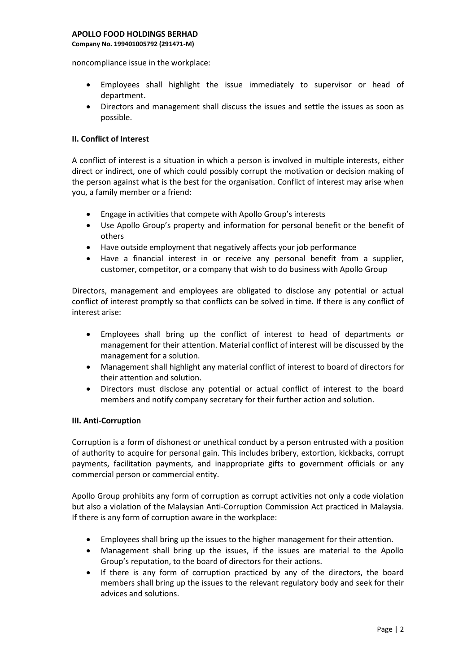#### **APOLLO FOOD HOLDINGS BERHAD**

**Company No. 199401005792 (291471-M)**

noncompliance issue in the workplace:

- Employees shall highlight the issue immediately to supervisor or head of department.
- Directors and management shall discuss the issues and settle the issues as soon as possible.

### **II. Conflict of Interest**

A conflict of interest is a situation in which a person is involved in multiple interests, either direct or indirect, one of which could possibly corrupt the motivation or decision making of the person against what is the best for the organisation. Conflict of interest may arise when you, a family member or a friend:

- Engage in activities that compete with Apollo Group's interests
- Use Apollo Group's property and information for personal benefit or the benefit of others
- Have outside employment that negatively affects your job performance
- Have a financial interest in or receive any personal benefit from a supplier, customer, competitor, or a company that wish to do business with Apollo Group

Directors, management and employees are obligated to disclose any potential or actual conflict of interest promptly so that conflicts can be solved in time. If there is any conflict of interest arise:

- Employees shall bring up the conflict of interest to head of departments or management for their attention. Material conflict of interest will be discussed by the management for a solution.
- Management shall highlight any material conflict of interest to board of directors for their attention and solution.
- Directors must disclose any potential or actual conflict of interest to the board members and notify company secretary for their further action and solution.

# **III. Anti-Corruption**

Corruption is a form of dishonest or unethical conduct by a person entrusted with a position of authority to acquire for personal gain. This includes bribery, extortion, kickbacks, corrupt payments, facilitation payments, and inappropriate gifts to government officials or any commercial person or commercial entity.

Apollo Group prohibits any form of corruption as corrupt activities not only a code violation but also a violation of the Malaysian Anti-Corruption Commission Act practiced in Malaysia. If there is any form of corruption aware in the workplace:

- Employees shall bring up the issues to the higher management for their attention.
- Management shall bring up the issues, if the issues are material to the Apollo Group's reputation, to the board of directors for their actions.
- If there is any form of corruption practiced by any of the directors, the board members shall bring up the issues to the relevant regulatory body and seek for their advices and solutions.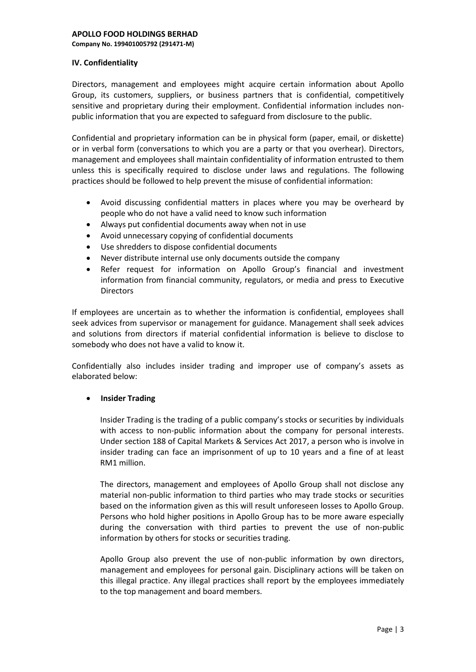**Company No. 199401005792 (291471-M)**

## **IV. Confidentiality**

Directors, management and employees might acquire certain information about Apollo Group, its customers, suppliers, or business partners that is confidential, competitively sensitive and proprietary during their employment. Confidential information includes nonpublic information that you are expected to safeguard from disclosure to the public.

Confidential and proprietary information can be in physical form (paper, email, or diskette) or in verbal form (conversations to which you are a party or that you overhear). Directors, management and employees shall maintain confidentiality of information entrusted to them unless this is specifically required to disclose under laws and regulations. The following practices should be followed to help prevent the misuse of confidential information:

- Avoid discussing confidential matters in places where you may be overheard by people who do not have a valid need to know such information
- Always put confidential documents away when not in use
- Avoid unnecessary copying of confidential documents
- Use shredders to dispose confidential documents
- Never distribute internal use only documents outside the company
- Refer request for information on Apollo Group's financial and investment information from financial community, regulators, or media and press to Executive **Directors**

If employees are uncertain as to whether the information is confidential, employees shall seek advices from supervisor or management for guidance. Management shall seek advices and solutions from directors if material confidential information is believe to disclose to somebody who does not have a valid to know it.

Confidentially also includes insider trading and improper use of company's assets as elaborated below:

# • **Insider Trading**

Insider Trading is the trading of a public company's stocks or securities by individuals with access to non-public information about the company for personal interests. Under section 188 of Capital Markets & Services Act 2017, a person who is involve in insider trading can face an imprisonment of up to 10 years and a fine of at least RM1 million.

The directors, management and employees of Apollo Group shall not disclose any material non-public information to third parties who may trade stocks or securities based on the information given as this will result unforeseen losses to Apollo Group. Persons who hold higher positions in Apollo Group has to be more aware especially during the conversation with third parties to prevent the use of non-public information by others for stocks or securities trading.

Apollo Group also prevent the use of non-public information by own directors, management and employees for personal gain. Disciplinary actions will be taken on this illegal practice. Any illegal practices shall report by the employees immediately to the top management and board members.